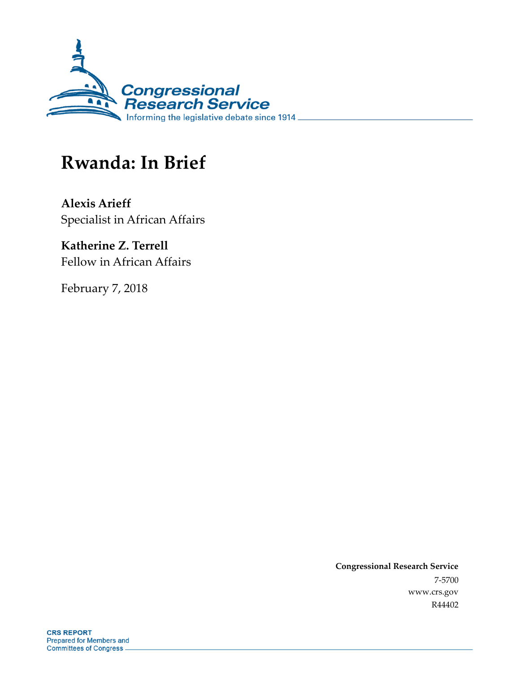

# **Rwanda: In Brief**

**Alexis Arieff** Specialist in African Affairs

**Katherine Z. Terrell** Fellow in African Affairs

February 7, 2018

**Congressional Research Service** 7-5700 www.crs.gov R44402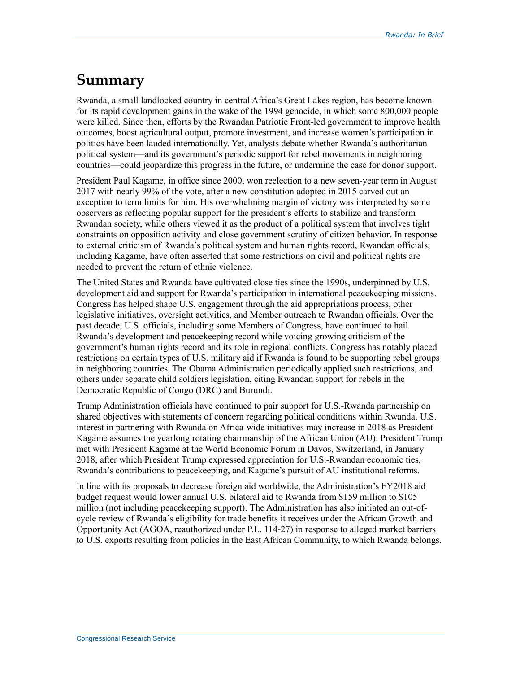### **Summary**

Rwanda, a small landlocked country in central Africa's Great Lakes region, has become known for its rapid development gains in the wake of the 1994 genocide, in which some 800,000 people were killed. Since then, efforts by the Rwandan Patriotic Front-led government to improve health outcomes, boost agricultural output, promote investment, and increase women's participation in politics have been lauded internationally. Yet, analysts debate whether Rwanda's authoritarian political system—and its government's periodic support for rebel movements in neighboring countries—could jeopardize this progress in the future, or undermine the case for donor support.

President Paul Kagame, in office since 2000, won reelection to a new seven-year term in August 2017 with nearly 99% of the vote, after a new constitution adopted in 2015 carved out an exception to term limits for him. His overwhelming margin of victory was interpreted by some observers as reflecting popular support for the president's efforts to stabilize and transform Rwandan society, while others viewed it as the product of a political system that involves tight constraints on opposition activity and close government scrutiny of citizen behavior. In response to external criticism of Rwanda's political system and human rights record, Rwandan officials, including Kagame, have often asserted that some restrictions on civil and political rights are needed to prevent the return of ethnic violence.

The United States and Rwanda have cultivated close ties since the 1990s, underpinned by U.S. development aid and support for Rwanda's participation in international peacekeeping missions. Congress has helped shape U.S. engagement through the aid appropriations process, other legislative initiatives, oversight activities, and Member outreach to Rwandan officials. Over the past decade, U.S. officials, including some Members of Congress, have continued to hail Rwanda's development and peacekeeping record while voicing growing criticism of the government's human rights record and its role in regional conflicts. Congress has notably placed restrictions on certain types of U.S. military aid if Rwanda is found to be supporting rebel groups in neighboring countries. The Obama Administration periodically applied such restrictions, and others under separate child soldiers legislation, citing Rwandan support for rebels in the Democratic Republic of Congo (DRC) and Burundi.

Trump Administration officials have continued to pair support for U.S.-Rwanda partnership on shared objectives with statements of concern regarding political conditions within Rwanda. U.S. interest in partnering with Rwanda on Africa-wide initiatives may increase in 2018 as President Kagame assumes the yearlong rotating chairmanship of the African Union (AU). President Trump met with President Kagame at the World Economic Forum in Davos, Switzerland, in January 2018, after which President Trump expressed appreciation for U.S.-Rwandan economic ties, Rwanda's contributions to peacekeeping, and Kagame's pursuit of AU institutional reforms.

In line with its proposals to decrease foreign aid worldwide, the Administration's FY2018 aid budget request would lower annual U.S. bilateral aid to Rwanda from \$159 million to \$105 million (not including peacekeeping support). The Administration has also initiated an out-ofcycle review of Rwanda's eligibility for trade benefits it receives under the African Growth and Opportunity Act (AGOA, reauthorized under P.L. 114-27) in response to alleged market barriers to U.S. exports resulting from policies in the East African Community, to which Rwanda belongs.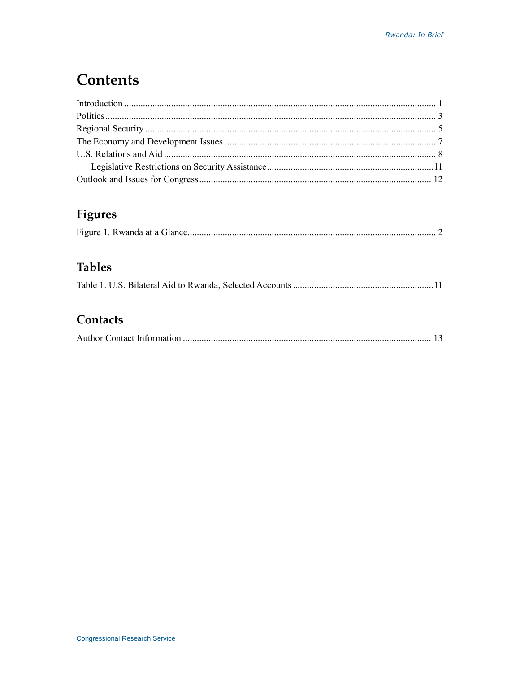## **Contents**

### Figures

#### **Tables**

#### Contacts

|--|--|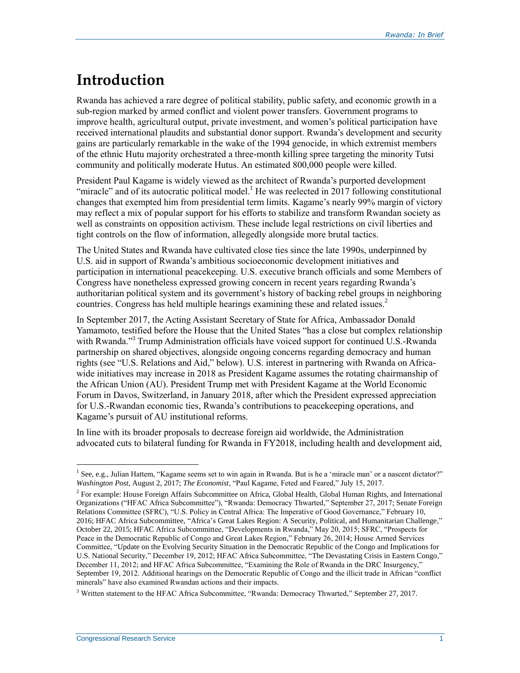### **Introduction**

Rwanda has achieved a rare degree of political stability, public safety, and economic growth in a sub-region marked by armed conflict and violent power transfers. Government programs to improve health, agricultural output, private investment, and women's political participation have received international plaudits and substantial donor support. Rwanda's development and security gains are particularly remarkable in the wake of the 1994 genocide, in which extremist members of the ethnic Hutu majority orchestrated a three-month killing spree targeting the minority Tutsi community and politically moderate Hutus. An estimated 800,000 people were killed.

President Paul Kagame is widely viewed as the architect of Rwanda's purported development "miracle" and of its autocratic political model.<sup>1</sup> He was reelected in 2017 following constitutional changes that exempted him from presidential term limits. Kagame's nearly 99% margin of victory may reflect a mix of popular support for his efforts to stabilize and transform Rwandan society as well as constraints on opposition activism. These include legal restrictions on civil liberties and tight controls on the flow of information, allegedly alongside more brutal tactics.

The United States and Rwanda have cultivated close ties since the late 1990s, underpinned by U.S. aid in support of Rwanda's ambitious socioeconomic development initiatives and participation in international peacekeeping. U.S. executive branch officials and some Members of Congress have nonetheless expressed growing concern in recent years regarding Rwanda's authoritarian political system and its government's history of backing rebel groups in neighboring countries. Congress has held multiple hearings examining these and related issues.<sup>2</sup>

In September 2017, the Acting Assistant Secretary of State for Africa, Ambassador Donald Yamamoto, testified before the House that the United States "has a close but complex relationship with Rwanda."<sup>3</sup> Trump Administration officials have voiced support for continued U.S.-Rwanda partnership on shared objectives, alongside ongoing concerns regarding democracy and human rights (see "U.S. Relations and Aid," below). U.S. interest in partnering with Rwanda on Africawide initiatives may increase in 2018 as President Kagame assumes the rotating chairmanship of the African Union (AU). President Trump met with President Kagame at the World Economic Forum in Davos, Switzerland, in January 2018, after which the President expressed appreciation for U.S.-Rwandan economic ties, Rwanda's contributions to peacekeeping operations, and Kagame's pursuit of AU institutional reforms.

In line with its broader proposals to decrease foreign aid worldwide, the Administration advocated cuts to bilateral funding for Rwanda in FY2018, including health and development aid,

<sup>&</sup>lt;sup>1</sup> See, e.g., Julian Hattem, "Kagame seems set to win again in Rwanda. But is he a 'miracle man' or a nascent dictator?" *Washington Post*, August 2, 2017; *The Economist*, "Paul Kagame, Feted and Feared," July 15, 2017.

<sup>&</sup>lt;sup>2</sup> For example: House Foreign Affairs Subcommittee on Africa, Global Health, Global Human Rights, and International Organizations ("HFAC Africa Subcommittee"), "Rwanda: Democracy Thwarted," September 27, 2017; Senate Foreign Relations Committee (SFRC), "U.S. Policy in Central Africa: The Imperative of Good Governance," February 10, 2016; HFAC Africa Subcommittee, "Africa's Great Lakes Region: A Security, Political, and Humanitarian Challenge," October 22, 2015; HFAC Africa Subcommittee, "Developments in Rwanda," May 20, 2015; SFRC, "Prospects for Peace in the Democratic Republic of Congo and Great Lakes Region," February 26, 2014; House Armed Services Committee, "Update on the Evolving Security Situation in the Democratic Republic of the Congo and Implications for U.S. National Security," December 19, 2012; HFAC Africa Subcommittee, "The Devastating Crisis in Eastern Congo," December 11, 2012; and HFAC Africa Subcommittee, "Examining the Role of Rwanda in the DRC Insurgency," September 19, 2012. Additional hearings on the Democratic Republic of Congo and the illicit trade in African "conflict minerals" have also examined Rwandan actions and their impacts.

<sup>&</sup>lt;sup>3</sup> Written statement to the HFAC Africa Subcommittee, "Rwanda: Democracy Thwarted," September 27, 2017.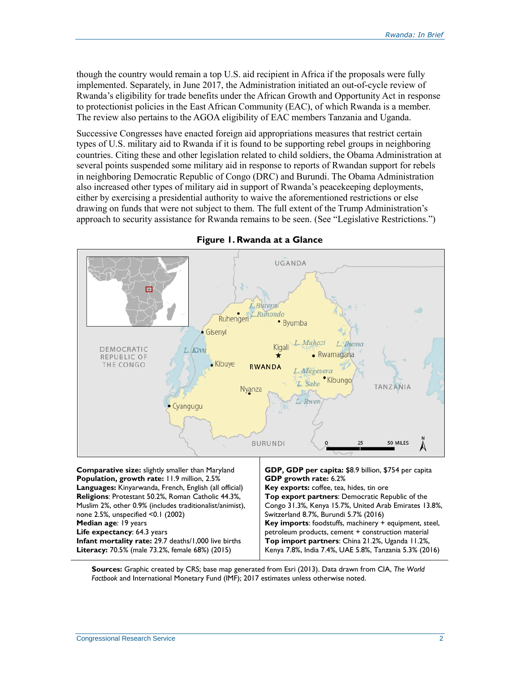though the country would remain a top U.S. aid recipient in Africa if the proposals were fully implemented. Separately, in June 2017, the Administration initiated an out-of-cycle review of Rwanda's eligibility for trade benefits under the African Growth and Opportunity Act in response to protectionist policies in the East African Community (EAC), of which Rwanda is a member. The review also pertains to the AGOA eligibility of EAC members Tanzania and Uganda.

Successive Congresses have enacted foreign aid appropriations measures that restrict certain types of U.S. military aid to Rwanda if it is found to be supporting rebel groups in neighboring countries. Citing these and other legislation related to child soldiers, the Obama Administration at several points suspended some military aid in response to reports of Rwandan support for rebels in neighboring Democratic Republic of Congo (DRC) and Burundi. The Obama Administration also increased other types of military aid in support of Rwanda's peacekeeping deployments, either by exercising a presidential authority to waive the aforementioned restrictions or else drawing on funds that were not subject to them. The full extent of the Trump Administration's approach to security assistance for Rwanda remains to be seen. (See "Legislative Restrictions.")



#### **Figure 1. Rwanda at a Glance**

**Population, growth rate:** 11.9 million, 2.5% **Languages:** Kinyarwanda, French, English (all official) **Religions**: Protestant 50.2%, Roman Catholic 44.3%, Muslim 2%, other 0.9% (includes traditionalist/animist), none 2.5%, unspecified <0.1 (2002) **Median age**: 19 years **Life expectancy**: 64.3 years **Infant mortality rate:** 29.7 deaths/1,000 live births **Literacy:** 70.5% (male 73.2%, female 68%) (2015)

Congo 31.3%, Kenya 15.7%, United Arab Emirates 13.8%, Switzerland 8.7%, Burundi 5.7% (2016) **Key imports**: foodstuffs, machinery + equipment, steel, petroleum products, cement + construction material **Top import partners**: China 21.2%, Uganda 11.2%, Kenya 7.8%, India 7.4%, UAE 5.8%, Tanzania 5.3% (2016)

**Sources:** Graphic created by CRS; base map generated from Esri (2013). Data drawn from CIA, *The World Factbook* and International Monetary Fund (IMF); 2017 estimates unless otherwise noted.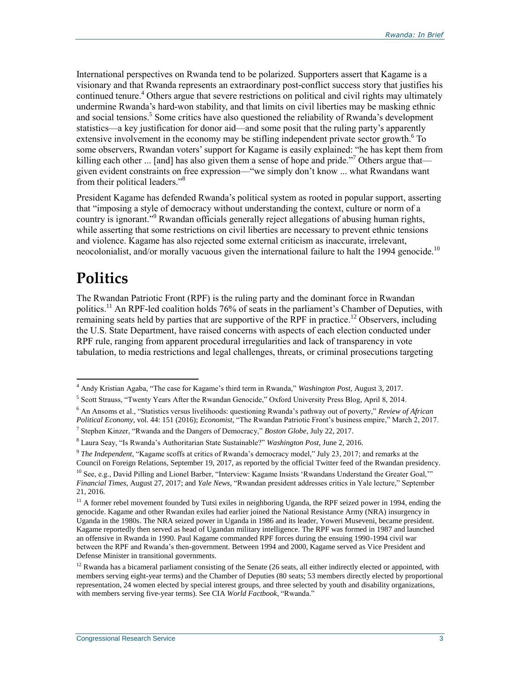International perspectives on Rwanda tend to be polarized. Supporters assert that Kagame is a visionary and that Rwanda represents an extraordinary post-conflict success story that justifies his continued tenure. <sup>4</sup> Others argue that severe restrictions on political and civil rights may ultimately undermine Rwanda's hard-won stability, and that limits on civil liberties may be masking ethnic and social tensions. 5 Some critics have also questioned the reliability of Rwanda's development statistics—a key justification for donor aid—and some posit that the ruling party's apparently extensive involvement in the economy may be stifling independent private sector growth.<sup>6</sup> To some observers, Rwandan voters' support for Kagame is easily explained: "he has kept them from killing each other  $\ldots$  [and] has also given them a sense of hope and pride."<sup>7</sup> Others argue that given evident constraints on free expression—"we simply don't know ... what Rwandans want from their political leaders."<sup>8</sup>

President Kagame has defended Rwanda's political system as rooted in popular support, asserting that "imposing a style of democracy without understanding the context, culture or norm of a country is ignorant." <sup>9</sup> Rwandan officials generally reject allegations of abusing human rights, while asserting that some restrictions on civil liberties are necessary to prevent ethnic tensions and violence. Kagame has also rejected some external criticism as inaccurate, irrelevant, neocolonialist, and/or morally vacuous given the international failure to halt the 1994 genocide.<sup>10</sup>

# **Politics**

 $\overline{a}$ 

The Rwandan Patriotic Front (RPF) is the ruling party and the dominant force in Rwandan politics.<sup>11</sup> An RPF-led coalition holds 76% of seats in the parliament's Chamber of Deputies, with remaining seats held by parties that are supportive of the RPF in practice.<sup>12</sup> Observers, including the U.S. State Department, have raised concerns with aspects of each election conducted under RPF rule, ranging from apparent procedural irregularities and lack of transparency in vote tabulation, to media restrictions and legal challenges, threats, or criminal prosecutions targeting

<sup>4</sup> Andy Kristian Agaba, "The case for Kagame's third term in Rwanda," *Washington Post*, August 3, 2017.

<sup>&</sup>lt;sup>5</sup> Scott Strauss, "Twenty Years After the Rwandan Genocide," Oxford University Press Blog, April 8, 2014.

<sup>6</sup> An Ansoms et al., "Statistics versus livelihoods: questioning Rwanda's pathway out of poverty," *Review of African Political Economy*, vol. 44: 151 (2016); *Economist*, "The Rwandan Patriotic Front's business empire," March 2, 2017.

<sup>7</sup> Stephen Kinzer, "Rwanda and the Dangers of Democracy," *Boston Globe*, July 22, 2017.

<sup>8</sup> Laura Seay, "Is Rwanda's Authoritarian State Sustainable?" *Washington Post*, June 2, 2016.

<sup>9</sup> *The Independent*, "Kagame scoffs at critics of Rwanda's democracy model," July 23, 2017; and remarks at the Council on Foreign Relations, September 19, 2017, as reported by the official Twitter feed of the Rwandan presidency.

 $10$  See, e.g., David Pilling and Lionel Barber, "Interview: Kagame Insists 'Rwandans Understand the Greater Goal," *Financial Times*, August 27, 2017; and *Yale News*, "Rwandan president addresses critics in Yale lecture," September 21, 2016.

 $11$  A former rebel movement founded by Tutsi exiles in neighboring Uganda, the RPF seized power in 1994, ending the genocide. Kagame and other Rwandan exiles had earlier joined the National Resistance Army (NRA) insurgency in Uganda in the 1980s. The NRA seized power in Uganda in 1986 and its leader, Yoweri Museveni, became president. Kagame reportedly then served as head of Ugandan military intelligence. The RPF was formed in 1987 and launched an offensive in Rwanda in 1990. Paul Kagame commanded RPF forces during the ensuing 1990-1994 civil war between the RPF and Rwanda's then-government. Between 1994 and 2000, Kagame served as Vice President and Defense Minister in transitional governments.

<sup>&</sup>lt;sup>12</sup> Rwanda has a bicameral parliament consisting of the Senate (26 seats, all either indirectly elected or appointed, with members serving eight-year terms) and the Chamber of Deputies (80 seats; 53 members directly elected by proportional representation, 24 women elected by special interest groups, and three selected by youth and disability organizations, with members serving five-year terms). See CIA *World Factbook*, "Rwanda."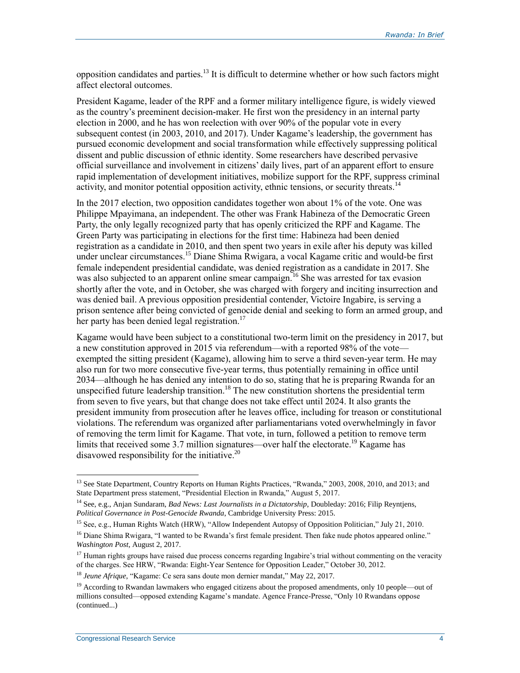opposition candidates and parties.<sup>13</sup> It is difficult to determine whether or how such factors might affect electoral outcomes.

President Kagame, leader of the RPF and a former military intelligence figure, is widely viewed as the country's preeminent decision-maker. He first won the presidency in an internal party election in 2000, and he has won reelection with over 90% of the popular vote in every subsequent contest (in 2003, 2010, and 2017). Under Kagame's leadership, the government has pursued economic development and social transformation while effectively suppressing political dissent and public discussion of ethnic identity. Some researchers have described pervasive official surveillance and involvement in citizens' daily lives, part of an apparent effort to ensure rapid implementation of development initiatives, mobilize support for the RPF, suppress criminal activity, and monitor potential opposition activity, ethnic tensions, or security threats.<sup>14</sup>

In the 2017 election, two opposition candidates together won about 1% of the vote. One was Philippe Mpayimana, an independent. The other was Frank Habineza of the Democratic Green Party, the only legally recognized party that has openly criticized the RPF and Kagame. The Green Party was participating in elections for the first time: Habineza had been denied registration as a candidate in 2010, and then spent two years in exile after his deputy was killed under unclear circumstances. <sup>15</sup> Diane Shima Rwigara, a vocal Kagame critic and would-be first female independent presidential candidate, was denied registration as a candidate in 2017. She was also subjected to an apparent online smear campaign.<sup>16</sup> She was arrested for tax evasion shortly after the vote, and in October, she was charged with forgery and inciting insurrection and was denied bail. A previous opposition presidential contender, Victoire Ingabire, is serving a prison sentence after being convicted of genocide denial and seeking to form an armed group, and her party has been denied legal registration.<sup>17</sup>

Kagame would have been subject to a constitutional two-term limit on the presidency in 2017, but a new constitution approved in 2015 via referendum—with a reported 98% of the vote exempted the sitting president (Kagame), allowing him to serve a third seven-year term. He may also run for two more consecutive five-year terms, thus potentially remaining in office until 2034—although he has denied any intention to do so, stating that he is preparing Rwanda for an unspecified future leadership transition. <sup>18</sup> The new constitution shortens the presidential term from seven to five years, but that change does not take effect until 2024. It also grants the president immunity from prosecution after he leaves office, including for treason or constitutional violations. The referendum was organized after parliamentarians voted overwhelmingly in favor of removing the term limit for Kagame. That vote, in turn, followed a petition to remove term limits that received some 3.7 million signatures—over half the electorate. <sup>19</sup> Kagame has disavowed responsibility for the initiative. $20$ 

<sup>&</sup>lt;sup>13</sup> See State Department, Country Reports on Human Rights Practices, "Rwanda," 2003, 2008, 2010, and 2013; and State Department press statement, "Presidential Election in Rwanda," August 5, 2017.

<sup>14</sup> See, e.g., Anjan Sundaram, *Bad News: Last Journalists in a Dictatorship*, Doubleday: 2016; Filip Reyntjens, *Political Governance in Post-Genocide Rwanda*, Cambridge University Press: 2015.

<sup>&</sup>lt;sup>15</sup> See, e.g., Human Rights Watch (HRW), "Allow Independent Autopsy of Opposition Politician," July 21, 2010.

<sup>&</sup>lt;sup>16</sup> Diane Shima Rwigara, "I wanted to be Rwanda's first female president. Then fake nude photos appeared online." *Washington Post*, August 2, 2017.

 $17$  Human rights groups have raised due process concerns regarding Ingabire's trial without commenting on the veracity of the charges. See HRW, "Rwanda: Eight-Year Sentence for Opposition Leader," October 30, 2012.

<sup>18</sup> *Jeune Afrique*, "Kagame: Ce sera sans doute mon dernier mandat," May 22, 2017.

<sup>&</sup>lt;sup>19</sup> According to Rwandan lawmakers who engaged citizens about the proposed amendments, only 10 people—out of millions consulted—opposed extending Kagame's mandate. Agence France-Presse, "Only 10 Rwandans oppose (continued...)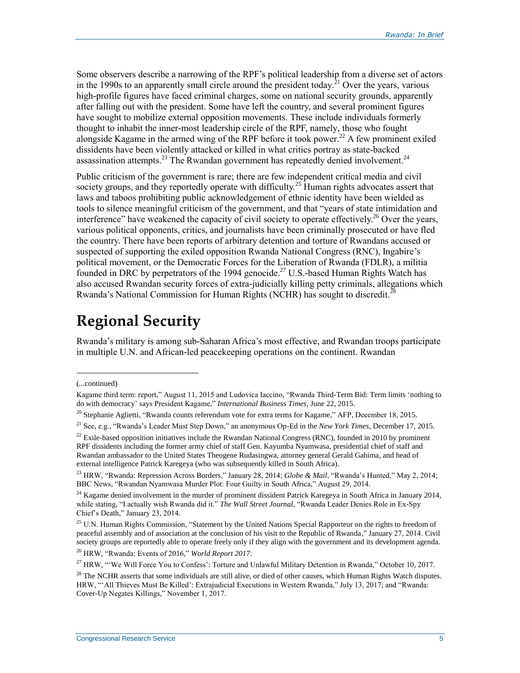Some observers describe a narrowing of the RPF's political leadership from a diverse set of actors in the 1990s to an apparently small circle around the president today.<sup>21</sup> Over the years, various high-profile figures have faced criminal charges, some on national security grounds, apparently after falling out with the president. Some have left the country, and several prominent figures have sought to mobilize external opposition movements. These include individuals formerly thought to inhabit the inner-most leadership circle of the RPF, namely, those who fought alongside Kagame in the armed wing of the RPF before it took power.<sup>22</sup> A few prominent exiled dissidents have been violently attacked or killed in what critics portray as state-backed assassination attempts.<sup>23</sup> The Rwandan government has repeatedly denied involvement.<sup>24</sup>

Public criticism of the government is rare; there are few independent critical media and civil society groups, and they reportedly operate with difficulty.<sup>25</sup> Human rights advocates assert that laws and taboos prohibiting public acknowledgement of ethnic identity have been wielded as tools to silence meaningful criticism of the government, and that "years of state intimidation and interference" have weakened the capacity of civil society to operate effectively.<sup>26</sup> Over the years, various political opponents, critics, and journalists have been criminally prosecuted or have fled the country. There have been reports of arbitrary detention and torture of Rwandans accused or suspected of supporting the exiled opposition Rwanda National Congress (RNC), Ingabire's political movement, or the Democratic Forces for the Liberation of Rwanda (FDLR), a militia founded in DRC by perpetrators of the 1994 genocide.<sup>27</sup> U.S.-based Human Rights Watch has also accused Rwandan security forces of extra-judicially killing petty criminals, allegations which Rwanda's National Commission for Human Rights (NCHR) has sought to discredit.<sup>28</sup>

# **Regional Security**

Rwanda's military is among sub-Saharan Africa's most effective, and Rwandan troops participate in multiple U.N. and African-led peacekeeping operations on the continent. Rwandan

 $\overline{a}$ 

<sup>26</sup> HRW, "Rwanda: Events of 2016," *World Report 2017*.

<sup>(...</sup>continued)

Kagame third term: report," August 11, 2015 and Ludovica Iaccino, "Rwanda Third-Term Bid: Term limits 'nothing to do with democracy' says President Kagame," *International Business Times*, June 22, 2015.

<sup>&</sup>lt;sup>20</sup> Stephanie Aglietti, "Rwanda counts referendum vote for extra terms for Kagame," AFP, December 18, 2015.

<sup>21</sup> See, e.g., "Rwanda's Leader Must Step Down," an anonymous Op-Ed in the *New York Times*, December 17, 2015.

 $^{22}$  Exile-based opposition initiatives include the Rwandan National Congress (RNC), founded in 2010 by prominent RPF dissidents including the former army chief of staff Gen. Kayumba Nyamwasa, presidential chief of staff and Rwandan ambassador to the United States Theogene Rudasingwa, attorney general Gerald Gahima, and head of external intelligence Patrick Karegeya (who was subsequently killed in South Africa).

<sup>23</sup> HRW, "Rwanda: Repression Across Borders," January 28, 2014; *Globe & Mail*, "Rwanda's Hunted," May 2, 2014; BBC News, "Rwandan Nyamwasa Murder Plot: Four Guilty in South Africa," August 29, 2014.

<sup>&</sup>lt;sup>24</sup> Kagame denied involvement in the murder of prominent dissident Patrick Karegeya in South Africa in January 2014, while stating, "I actually wish Rwanda did it." *The Wall Street Journal*, "Rwanda Leader Denies Role in Ex-Spy Chief's Death," January 23, 2014.

<sup>&</sup>lt;sup>25</sup> U.N. Human Rights Commission, "Statement by the United Nations Special Rapporteur on the rights to freedom of peaceful assembly and of association at the conclusion of his visit to the Republic of Rwanda," January 27, 2014. Civil society groups are reportedly able to operate freely only if they align with the government and its development agenda.

<sup>&</sup>lt;sup>27</sup> HRW, "'We Will Force You to Confess': Torture and Unlawful Military Detention in Rwanda," October 10, 2017.

 $28$  The NCHR asserts that some individuals are still alive, or died of other causes, which Human Rights Watch disputes. HRW, "'All Thieves Must Be Killed': Extrajudicial Executions in Western Rwanda," July 13, 2017; and "Rwanda: Cover-Up Negates Killings," November 1, 2017.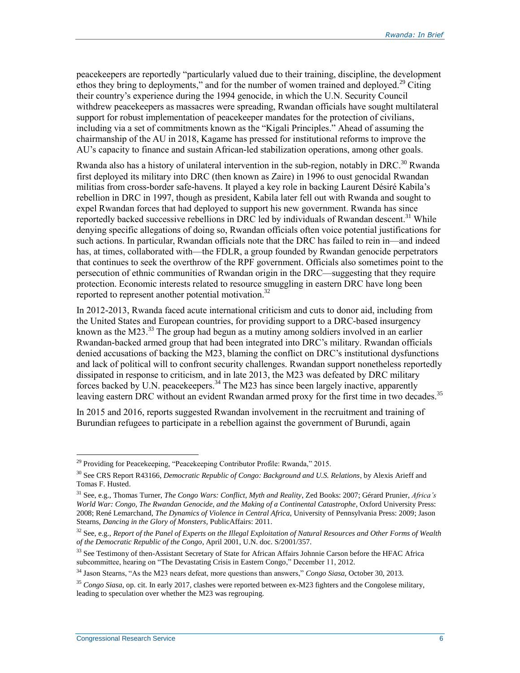peacekeepers are reportedly "particularly valued due to their training, discipline, the development ethos they bring to deployments," and for the number of women trained and deployed.<sup>29</sup> Citing their country's experience during the 1994 genocide, in which the U.N. Security Council withdrew peacekeepers as massacres were spreading, Rwandan officials have sought multilateral support for robust implementation of peacekeeper mandates for the protection of civilians, including via a set of commitments known as the "Kigali Principles." Ahead of assuming the chairmanship of the AU in 2018, Kagame has pressed for institutional reforms to improve the AU's capacity to finance and sustain African-led stabilization operations, among other goals.

Rwanda also has a history of unilateral intervention in the sub-region, notably in DRC.<sup>30</sup> Rwanda first deployed its military into DRC (then known as Zaire) in 1996 to oust genocidal Rwandan militias from cross-border safe-havens. It played a key role in backing Laurent Désiré Kabila's rebellion in DRC in 1997, though as president, Kabila later fell out with Rwanda and sought to expel Rwandan forces that had deployed to support his new government. Rwanda has since reportedly backed successive rebellions in DRC led by individuals of Rwandan descent.<sup>31</sup> While denying specific allegations of doing so, Rwandan officials often voice potential justifications for such actions. In particular, Rwandan officials note that the DRC has failed to rein in—and indeed has, at times, collaborated with—the FDLR, a group founded by Rwandan genocide perpetrators that continues to seek the overthrow of the RPF government. Officials also sometimes point to the persecution of ethnic communities of Rwandan origin in the DRC—suggesting that they require protection. Economic interests related to resource smuggling in eastern DRC have long been reported to represent another potential motivation.<sup>32</sup>

In 2012-2013, Rwanda faced acute international criticism and cuts to donor aid, including from the United States and European countries, for providing support to a DRC-based insurgency known as the M23. $^{33}$  The group had begun as a mutiny among soldiers involved in an earlier Rwandan-backed armed group that had been integrated into DRC's military. Rwandan officials denied accusations of backing the M23, blaming the conflict on DRC's institutional dysfunctions and lack of political will to confront security challenges. Rwandan support nonetheless reportedly dissipated in response to criticism, and in late 2013, the M23 was defeated by DRC military forces backed by U.N. peacekeepers.<sup>34</sup> The M23 has since been largely inactive, apparently leaving eastern DRC without an evident Rwandan armed proxy for the first time in two decades.<sup>35</sup>

In 2015 and 2016, reports suggested Rwandan involvement in the recruitment and training of Burundian refugees to participate in a rebellion against the government of Burundi, again

<sup>&</sup>lt;sup>29</sup> Providing for Peacekeeping, "Peacekeeping Contributor Profile: Rwanda," 2015.

<sup>30</sup> See CRS Report R43166, *Democratic Republic of Congo: Background and U.S. Relations*, by Alexis Arieff and Tomas F. Husted.

<sup>31</sup> See, e.g., Thomas Turner, *The Congo Wars: Conflict, Myth and Reality*, Zed Books: 2007; Gérard Prunier, *Africa's World War: Congo, The Rwandan Genocide, and the Making of a Continental Catastrophe*, Oxford University Press: 2008; René Lemarchand, *The Dynamics of Violence in Central Africa*, University of Pennsylvania Press: 2009; Jason Stearns, *Dancing in the Glory of Monsters*, PublicAffairs: 2011.

<sup>32</sup> See, e.g., *Report of the Panel of Experts on the Illegal Exploitation of Natural Resources and Other Forms of Wealth of the Democratic Republic of the Congo*, April 2001, U.N. doc. S/2001/357.

<sup>&</sup>lt;sup>33</sup> See Testimony of then-Assistant Secretary of State for African Affairs Johnnie Carson before the HFAC Africa subcommittee, hearing on "The Devastating Crisis in Eastern Congo," December 11, 2012.

<sup>34</sup> Jason Stearns, "As the M23 nears defeat, more questions than answers," *Congo Siasa*, October 30, 2013.

<sup>35</sup> *Congo Siasa*, op. cit. In early 2017, clashes were reported between ex-M23 fighters and the Congolese military, leading to speculation over whether the M23 was regrouping.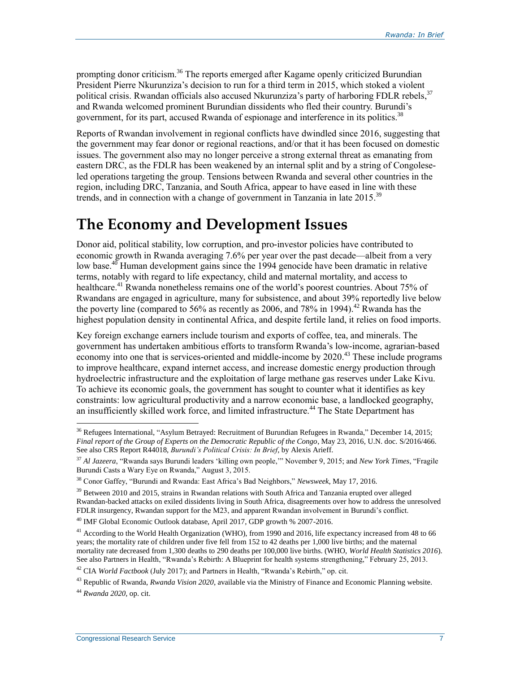prompting donor criticism.<sup>36</sup> The reports emerged after Kagame openly criticized Burundian President Pierre Nkurunziza's decision to run for a third term in 2015, which stoked a violent political crisis. Rwandan officials also accused Nkurunziza's party of harboring FDLR rebels,<sup>37</sup> and Rwanda welcomed prominent Burundian dissidents who fled their country. Burundi's government, for its part, accused Rwanda of espionage and interference in its politics.<sup>38</sup>

Reports of Rwandan involvement in regional conflicts have dwindled since 2016, suggesting that the government may fear donor or regional reactions, and/or that it has been focused on domestic issues. The government also may no longer perceive a strong external threat as emanating from eastern DRC, as the FDLR has been weakened by an internal split and by a string of Congoleseled operations targeting the group. Tensions between Rwanda and several other countries in the region, including DRC, Tanzania, and South Africa, appear to have eased in line with these trends, and in connection with a change of government in Tanzania in late 2015.<sup>39</sup>

### **The Economy and Development Issues**

Donor aid, political stability, low corruption, and pro-investor policies have contributed to economic growth in Rwanda averaging 7.6% per year over the past decade—albeit from a very low base. $40$  Human development gains since the 1994 genocide have been dramatic in relative terms, notably with regard to life expectancy, child and maternal mortality, and access to healthcare.<sup>41</sup> Rwanda nonetheless remains one of the world's poorest countries. About 75% of Rwandans are engaged in agriculture, many for subsistence, and about 39% reportedly live below the poverty line (compared to 56% as recently as 2006, and 78% in 1994).<sup>42</sup> Rwanda has the highest population density in continental Africa, and despite fertile land, it relies on food imports.

Key foreign exchange earners include tourism and exports of coffee, tea, and minerals. The government has undertaken ambitious efforts to transform Rwanda's low-income, agrarian-based economy into one that is services-oriented and middle-income by  $2020<sup>43</sup>$  These include programs to improve healthcare, expand internet access, and increase domestic energy production through hydroelectric infrastructure and the exploitation of large methane gas reserves under Lake Kivu. To achieve its economic goals, the government has sought to counter what it identifies as key constraints: low agricultural productivity and a narrow economic base, a landlocked geography, an insufficiently skilled work force, and limited infrastructure.<sup>44</sup> The State Department has

<sup>42</sup> CIA *World Factbook* (July 2017); and Partners in Health, "Rwanda's Rebirth," op. cit.

<sup>&</sup>lt;sup>36</sup> Refugees International, "Asylum Betrayed: Recruitment of Burundian Refugees in Rwanda," December 14, 2015; *Final report of the Group of Experts on the Democratic Republic of the Congo*, May 23, 2016, U.N. doc. S/2016/466. See also CRS Report R44018, *Burundi's Political Crisis: In Brief*, by Alexis Arieff.

<sup>37</sup> *Al Jazeera*, "Rwanda says Burundi leaders 'killing own people,'" November 9, 2015; and *New York Times*, "Fragile Burundi Casts a Wary Eye on Rwanda," August 3, 2015.

<sup>38</sup> Conor Gaffey, "Burundi and Rwanda: East Africa's Bad Neighbors," *Newsweek*, May 17, 2016.

 $39$  Between 2010 and 2015, strains in Rwandan relations with South Africa and Tanzania erupted over alleged Rwandan-backed attacks on exiled dissidents living in South Africa, disagreements over how to address the unresolved FDLR insurgency, Rwandan support for the M23, and apparent Rwandan involvement in Burundi's conflict.

<sup>40</sup> IMF Global Economic Outlook database, April 2017, GDP growth % 2007-2016.

<sup>&</sup>lt;sup>41</sup> According to the World Health Organization (WHO), from 1990 and 2016, life expectancy increased from 48 to 66 years; the mortality rate of children under five fell from 152 to 42 deaths per 1,000 live births; and the maternal mortality rate decreased from 1,300 deaths to 290 deaths per 100,000 live births. (WHO, *World Health Statistics 2016*). See also Partners in Health, "Rwanda's Rebirth: A Blueprint for health systems strengthening," February 25, 2013.

<sup>43</sup> Republic of Rwanda, *Rwanda Vision 2020*, available via the Ministry of Finance and Economic Planning website. <sup>44</sup> *Rwanda 2020*, op. cit.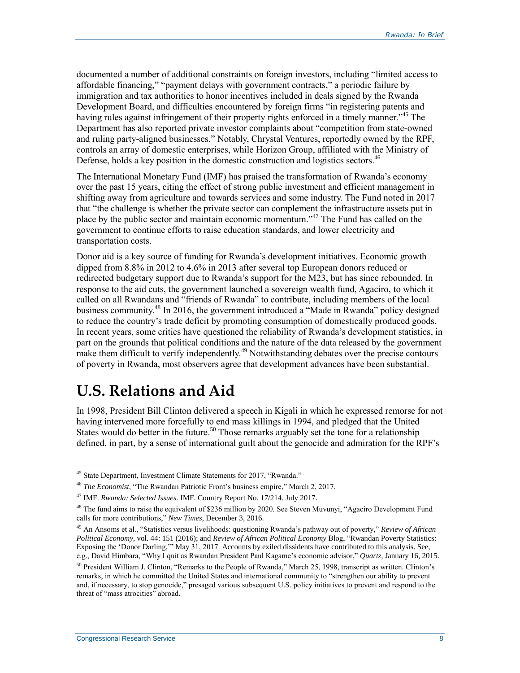documented a number of additional constraints on foreign investors, including "limited access to affordable financing," "payment delays with government contracts," a periodic failure by immigration and tax authorities to honor incentives included in deals signed by the Rwanda Development Board, and difficulties encountered by foreign firms "in registering patents and having rules against infringement of their property rights enforced in a timely manner.<sup>345</sup> The Department has also reported private investor complaints about "competition from state-owned and ruling party-aligned businesses." Notably, Chrystal Ventures, reportedly owned by the RPF, controls an array of domestic enterprises, while Horizon Group, affiliated with the Ministry of Defense, holds a key position in the domestic construction and logistics sectors.<sup>46</sup>

The International Monetary Fund (IMF) has praised the transformation of Rwanda's economy over the past 15 years, citing the effect of strong public investment and efficient management in shifting away from agriculture and towards services and some industry. The Fund noted in 2017 that "the challenge is whether the private sector can complement the infrastructure assets put in place by the public sector and maintain economic momentum."<sup>47</sup> The Fund has called on the government to continue efforts to raise education standards, and lower electricity and transportation costs.

Donor aid is a key source of funding for Rwanda's development initiatives. Economic growth dipped from 8.8% in 2012 to 4.6% in 2013 after several top European donors reduced or redirected budgetary support due to Rwanda's support for the M23, but has since rebounded. In response to the aid cuts, the government launched a sovereign wealth fund, Agaciro, to which it called on all Rwandans and "friends of Rwanda" to contribute, including members of the local business community.<sup>48</sup> In 2016, the government introduced a "Made in Rwanda" policy designed to reduce the country's trade deficit by promoting consumption of domestically produced goods. In recent years, some critics have questioned the reliability of Rwanda's development statistics, in part on the grounds that political conditions and the nature of the data released by the government make them difficult to verify independently.<sup>49</sup> Notwithstanding debates over the precise contours of poverty in Rwanda, most observers agree that development advances have been substantial.

# **U.S. Relations and Aid**

In 1998, President Bill Clinton delivered a speech in Kigali in which he expressed remorse for not having intervened more forcefully to end mass killings in 1994, and pledged that the United States would do better in the future.<sup>50</sup> Those remarks arguably set the tone for a relationship defined, in part, by a sense of international guilt about the genocide and admiration for the RPF's

<sup>45</sup> State Department, Investment Climate Statements for 2017, "Rwanda."

<sup>46</sup> *The Economist*, "The Rwandan Patriotic Front's business empire," March 2, 2017.

<sup>47</sup> IMF. *Rwanda: Selected Issues.* IMF. Country Report No. 17/214. July 2017.

<sup>&</sup>lt;sup>48</sup> The fund aims to raise the equivalent of \$236 million by 2020. See Steven Muvunyi, "Agaciro Development Fund calls for more contributions," *New Times*, December 3, 2016.

<sup>49</sup> An Ansoms et al., "Statistics versus livelihoods: questioning Rwanda's pathway out of poverty," *Review of African Political Economy*, vol. 44: 151 (2016); and *Review of African Political Economy* Blog, "Rwandan Poverty Statistics: Exposing the 'Donor Darling,'" May 31, 2017. Accounts by exiled dissidents have contributed to this analysis. See, e.g., David Himbara, "Why I quit as Rwandan President Paul Kagame's economic advisor," *Quartz*, January 16, 2015.

 $50$  President William J. Clinton, "Remarks to the People of Rwanda," March 25, 1998, transcript as written. Clinton's remarks, in which he committed the United States and international community to "strengthen our ability to prevent and, if necessary, to stop genocide," presaged various subsequent U.S. policy initiatives to prevent and respond to the threat of "mass atrocities" abroad.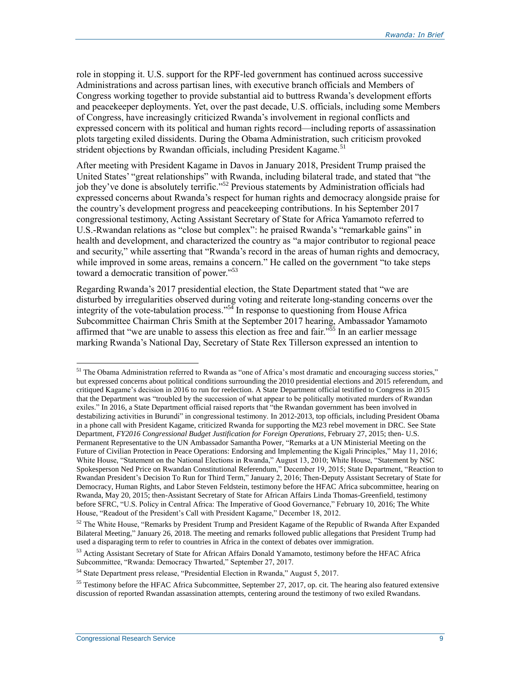role in stopping it. U.S. support for the RPF-led government has continued across successive Administrations and across partisan lines, with executive branch officials and Members of Congress working together to provide substantial aid to buttress Rwanda's development efforts and peacekeeper deployments. Yet, over the past decade, U.S. officials, including some Members of Congress, have increasingly criticized Rwanda's involvement in regional conflicts and expressed concern with its political and human rights record—including reports of assassination plots targeting exiled dissidents. During the Obama Administration, such criticism provoked strident objections by Rwandan officials, including President Kagame.<sup>51</sup>

After meeting with President Kagame in Davos in January 2018, President Trump praised the United States' "great relationships" with Rwanda, including bilateral trade, and stated that "the job they've done is absolutely terrific."<sup>52</sup> Previous statements by Administration officials had expressed concerns about Rwanda's respect for human rights and democracy alongside praise for the country's development progress and peacekeeping contributions. In his September 2017 congressional testimony, Acting Assistant Secretary of State for Africa Yamamoto referred to U.S.-Rwandan relations as "close but complex": he praised Rwanda's "remarkable gains" in health and development, and characterized the country as "a major contributor to regional peace and security," while asserting that "Rwanda's record in the areas of human rights and democracy, while improved in some areas, remains a concern." He called on the government "to take steps" toward a democratic transition of power."<sup>53</sup>

Regarding Rwanda's 2017 presidential election, the State Department stated that "we are disturbed by irregularities observed during voting and reiterate long-standing concerns over the integrity of the vote-tabulation process."<sup>54</sup> In response to questioning from House Africa Subcommittee Chairman Chris Smith at the September 2017 hearing, Ambassador Yamamoto affirmed that "we are unable to assess this election as free and fair."<sup>55</sup> In an earlier message marking Rwanda's National Day, Secretary of State Rex Tillerson expressed an intention to

<sup>&</sup>lt;sup>51</sup> The Obama Administration referred to Rwanda as "one of Africa's most dramatic and encouraging success stories," but expressed concerns about political conditions surrounding the 2010 presidential elections and 2015 referendum, and critiqued Kagame's decision in 2016 to run for reelection. A State Department official testified to Congress in 2015 that the Department was "troubled by the succession of what appear to be politically motivated murders of Rwandan exiles." In 2016, a State Department official raised reports that "the Rwandan government has been involved in destabilizing activities in Burundi" in congressional testimony. In 2012-2013, top officials, including President Obama in a phone call with President Kagame, criticized Rwanda for supporting the M23 rebel movement in DRC. See State Department, *FY2016 Congressional Budget Justification for Foreign Operations*, February 27, 2015; then- U.S. Permanent Representative to the UN Ambassador Samantha Power, "Remarks at a UN Ministerial Meeting on the Future of Civilian Protection in Peace Operations: Endorsing and Implementing the Kigali Principles," May 11, 2016; White House, "Statement on the National Elections in Rwanda," August 13, 2010; White House, "Statement by NSC Spokesperson Ned Price on Rwandan Constitutional Referendum," December 19, 2015; State Department, "Reaction to Rwandan President's Decision To Run for Third Term," January 2, 2016; Then-Deputy Assistant Secretary of State for Democracy, Human Rights, and Labor Steven Feldstein, testimony before the HFAC Africa subcommittee, hearing on Rwanda, May 20, 2015; then-Assistant Secretary of State for African Affairs Linda Thomas-Greenfield, testimony before SFRC, "U.S. Policy in Central Africa: The Imperative of Good Governance," February 10, 2016; The White House, "Readout of the President's Call with President Kagame," December 18, 2012.

<sup>&</sup>lt;sup>52</sup> The White House, "Remarks by President Trump and President Kagame of the Republic of Rwanda After Expanded Bilateral Meeting," January 26, 2018. The meeting and remarks followed public allegations that President Trump had used a disparaging term to refer to countries in Africa in the context of debates over immigration.

<sup>&</sup>lt;sup>53</sup> Acting Assistant Secretary of State for African Affairs Donald Yamamoto, testimony before the HFAC Africa Subcommittee, "Rwanda: Democracy Thwarted," September 27, 2017.

<sup>54</sup> State Department press release, "Presidential Election in Rwanda," August 5, 2017.

<sup>&</sup>lt;sup>55</sup> Testimony before the HFAC Africa Subcommittee, September 27, 2017, op. cit. The hearing also featured extensive discussion of reported Rwandan assassination attempts, centering around the testimony of two exiled Rwandans.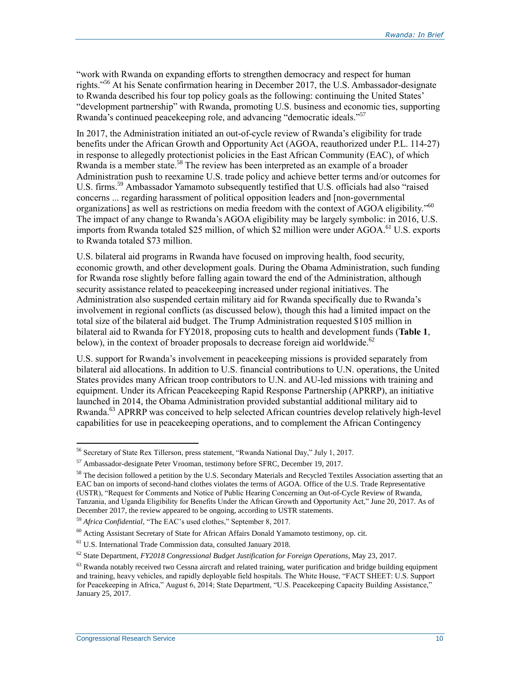"work with Rwanda on expanding efforts to strengthen democracy and respect for human rights."<sup>56</sup> At his Senate confirmation hearing in December 2017, the U.S. Ambassador-designate to Rwanda described his four top policy goals as the following: continuing the United States' "development partnership" with Rwanda, promoting U.S. business and economic ties, supporting Rwanda's continued peacekeeping role, and advancing "democratic ideals."<sup>57</sup>

In 2017, the Administration initiated an out-of-cycle review of Rwanda's eligibility for trade benefits under the African Growth and Opportunity Act (AGOA, reauthorized under P.L. 114-27) in response to allegedly protectionist policies in the East African Community (EAC), of which Rwanda is a member state.<sup>58</sup> The review has been interpreted as an example of a broader Administration push to reexamine U.S. trade policy and achieve better terms and/or outcomes for U.S. firms.<sup>59</sup> Ambassador Yamamoto subsequently testified that U.S. officials had also "raised concerns ... regarding harassment of political opposition leaders and [non-governmental organizations] as well as restrictions on media freedom with the context of AGOA eligibility."<sup>60</sup> The impact of any change to Rwanda's AGOA eligibility may be largely symbolic: in 2016, U.S. imports from Rwanda totaled \$25 million, of which \$2 million were under AGOA.<sup>61</sup> U.S. exports to Rwanda totaled \$73 million.

U.S. bilateral aid programs in Rwanda have focused on improving health, food security, economic growth, and other development goals. During the Obama Administration, such funding for Rwanda rose slightly before falling again toward the end of the Administration, although security assistance related to peacekeeping increased under regional initiatives. The Administration also suspended certain military aid for Rwanda specifically due to Rwanda's involvement in regional conflicts (as discussed below), though this had a limited impact on the total size of the bilateral aid budget. The Trump Administration requested \$105 million in bilateral aid to Rwanda for FY2018, proposing cuts to health and development funds (**[Table 1](#page-13-0)**, below), in the context of broader proposals to decrease foreign aid worldwide.<sup>62</sup>

U.S. support for Rwanda's involvement in peacekeeping missions is provided separately from bilateral aid allocations. In addition to U.S. financial contributions to U.N. operations, the United States provides many African troop contributors to U.N. and AU-led missions with training and equipment. Under its African Peacekeeping Rapid Response Partnership (APRRP), an initiative launched in 2014, the Obama Administration provided substantial additional military aid to Rwanda.<sup>63</sup> APRRP was conceived to help selected African countries develop relatively high-level capabilities for use in peacekeeping operations, and to complement the African Contingency

<sup>56</sup> Secretary of State Rex Tillerson, press statement, "Rwanda National Day," July 1, 2017.

<sup>57</sup> Ambassador-designate Peter Vrooman, testimony before SFRC, December 19, 2017.

<sup>&</sup>lt;sup>58</sup> The decision followed a petition by the U.S. Secondary Materials and Recycled Textiles Association asserting that an EAC ban on imports of second-hand clothes violates the terms of AGOA. Office of the U.S. Trade Representative (USTR), "Request for Comments and Notice of Public Hearing Concerning an Out-of-Cycle Review of Rwanda, Tanzania, and Uganda Eligibility for Benefits Under the African Growth and Opportunity Act," June 20, 2017. As of December 2017, the review appeared to be ongoing, according to USTR statements.

<sup>59</sup> *Africa Confidential*, "The EAC's used clothes," September 8, 2017.

<sup>60</sup> Acting Assistant Secretary of State for African Affairs Donald Yamamoto testimony, op. cit.

<sup>61</sup> U.S. International Trade Commission data, consulted January 2018.

<sup>62</sup> State Department, *FY2018 Congressional Budget Justification for Foreign Operations*, May 23, 2017.

 $63$  Rwanda notably received two Cessna aircraft and related training, water purification and bridge building equipment and training, heavy vehicles, and rapidly deployable field hospitals. The White House, "FACT SHEET: U.S. Support for Peacekeeping in Africa," August 6, 2014; State Department, "U.S. Peacekeeping Capacity Building Assistance," January 25, 2017.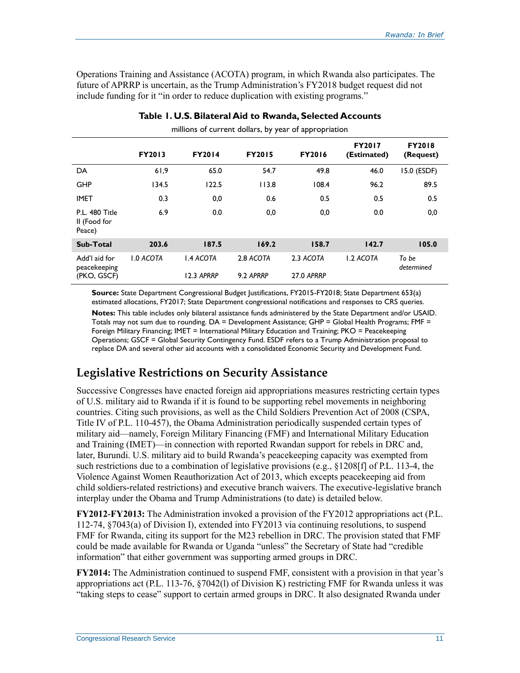Operations Training and Assistance (ACOTA) program, in which Rwanda also participates. The future of APRRP is uncertain, as the Trump Administration's FY2018 budget request did not include funding for it "in order to reduce duplication with existing programs."

<span id="page-13-0"></span>

|                                              |                  |                  | $\mathbf{1}$  | . .           |                              |                            |
|----------------------------------------------|------------------|------------------|---------------|---------------|------------------------------|----------------------------|
|                                              | <b>FY2013</b>    | <b>FY2014</b>    | <b>FY2015</b> | <b>FY2016</b> | <b>FY2017</b><br>(Estimated) | <b>FY2018</b><br>(Request) |
| DA                                           | 61,9             | 65.0             | 54.7          | 49.8          | 46.0                         | 15.0 (ESDF)                |
| <b>GHP</b>                                   | 134.5            | 122.5            | 113.8         | 108.4         | 96.2                         | 89.5                       |
| <b>IMET</b>                                  | 0.3              | 0,0              | 0.6           | 0.5           | 0.5                          | 0.5                        |
| P.L. 480 Title<br>II (Food for<br>Peace)     | 6.9              | 0.0              | 0,0           | 0,0           | 0.0                          | 0,0                        |
| <b>Sub-Total</b>                             | 203.6            | 187.5            | 169.2         | 158.7         | 142.7                        | 105.0                      |
| Add'l aid for<br>peacekeeping<br>(PKO, GSCF) | <b>1.0 ACOTA</b> | <b>1.4 ACOTA</b> | 2.8 ACOTA     | 2.3 ACOTA     | <b>1.2 ACOTA</b>             | To be<br>determined        |
|                                              |                  | 12.3 APRRP       | 9.2 APRRP     | 27.0 APRRP    |                              |                            |

#### **Table 1. U.S. Bilateral Aid to Rwanda, Selected Accounts** millions of current dollars, by year of appropriation

**Source:** State Department Congressional Budget Justifications, FY2015-FY2018; State Department 653(a) estimated allocations, FY2017; State Department congressional notifications and responses to CRS queries.

**Notes:** This table includes only bilateral assistance funds administered by the State Department and/or USAID. Totals may not sum due to rounding. DA = Development Assistance; GHP = Global Health Programs; FMF = Foreign Military Financing; IMET = International Military Education and Training; PKO = Peacekeeping Operations; GSCF = Global Security Contingency Fund. ESDF refers to a Trump Administration proposal to replace DA and several other aid accounts with a consolidated Economic Security and Development Fund.

#### **Legislative Restrictions on Security Assistance**

Successive Congresses have enacted foreign aid appropriations measures restricting certain types of U.S. military aid to Rwanda if it is found to be supporting rebel movements in neighboring countries. Citing such provisions, as well as the Child Soldiers Prevention Act of 2008 (CSPA, Title IV of P.L. 110-457), the Obama Administration periodically suspended certain types of military aid—namely, Foreign Military Financing (FMF) and International Military Education and Training (IMET)—in connection with reported Rwandan support for rebels in DRC and, later, Burundi. U.S. military aid to build Rwanda's peacekeeping capacity was exempted from such restrictions due to a combination of legislative provisions (e.g., §1208[f] of P.L. 113-4, the Violence Against Women Reauthorization Act of 2013, which excepts peacekeeping aid from child soldiers-related restrictions) and executive branch waivers. The executive-legislative branch interplay under the Obama and Trump Administrations (to date) is detailed below.

**FY2012-FY2013:** The Administration invoked a provision of the FY2012 appropriations act (P.L. 112-74, §7043(a) of Division I), extended into FY2013 via continuing resolutions, to suspend FMF for Rwanda, citing its support for the M23 rebellion in DRC. The provision stated that FMF could be made available for Rwanda or Uganda "unless" the Secretary of State had "credible information" that either government was supporting armed groups in DRC.

**FY2014:** The Administration continued to suspend FMF, consistent with a provision in that year's appropriations act (P.L. 113-76, §7042(l) of Division K) restricting FMF for Rwanda unless it was "taking steps to cease" support to certain armed groups in DRC. It also designated Rwanda under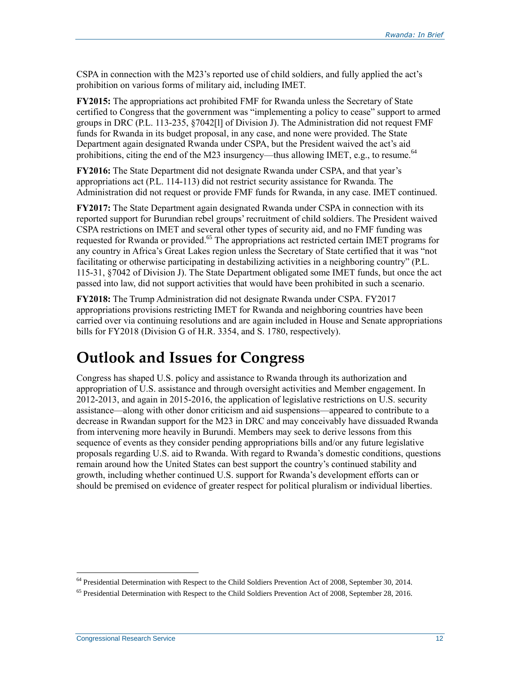CSPA in connection with the M23's reported use of child soldiers, and fully applied the act's prohibition on various forms of military aid, including IMET.

**FY2015:** The appropriations act prohibited FMF for Rwanda unless the Secretary of State certified to Congress that the government was "implementing a policy to cease" support to armed groups in DRC (P.L. 113-235, §7042[l] of Division J). The Administration did not request FMF funds for Rwanda in its budget proposal, in any case, and none were provided. The State Department again designated Rwanda under CSPA, but the President waived the act's aid prohibitions, citing the end of the M23 insurgency—thus allowing IMET, e.g., to resume.<sup>64</sup>

**FY2016:** The State Department did not designate Rwanda under CSPA, and that year's appropriations act (P.L. 114-113) did not restrict security assistance for Rwanda. The Administration did not request or provide FMF funds for Rwanda, in any case. IMET continued.

**FY2017:** The State Department again designated Rwanda under CSPA in connection with its reported support for Burundian rebel groups' recruitment of child soldiers. The President waived CSPA restrictions on IMET and several other types of security aid, and no FMF funding was requested for Rwanda or provided.<sup>65</sup> The appropriations act restricted certain IMET programs for any country in Africa's Great Lakes region unless the Secretary of State certified that it was "not facilitating or otherwise participating in destabilizing activities in a neighboring country" (P.L. 115-31, §7042 of Division J). The State Department obligated some IMET funds, but once the act passed into law, did not support activities that would have been prohibited in such a scenario.

**FY2018:** The Trump Administration did not designate Rwanda under CSPA. FY2017 appropriations provisions restricting IMET for Rwanda and neighboring countries have been carried over via continuing resolutions and are again included in House and Senate appropriations bills for FY2018 (Division G of H.R. 3354, and S. 1780, respectively).

### **Outlook and Issues for Congress**

Congress has shaped U.S. policy and assistance to Rwanda through its authorization and appropriation of U.S. assistance and through oversight activities and Member engagement. In 2012-2013, and again in 2015-2016, the application of legislative restrictions on U.S. security assistance—along with other donor criticism and aid suspensions—appeared to contribute to a decrease in Rwandan support for the M23 in DRC and may conceivably have dissuaded Rwanda from intervening more heavily in Burundi. Members may seek to derive lessons from this sequence of events as they consider pending appropriations bills and/or any future legislative proposals regarding U.S. aid to Rwanda. With regard to Rwanda's domestic conditions, questions remain around how the United States can best support the country's continued stability and growth, including whether continued U.S. support for Rwanda's development efforts can or should be premised on evidence of greater respect for political pluralism or individual liberties.

<sup>&</sup>lt;sup>64</sup> Presidential Determination with Respect to the Child Soldiers Prevention Act of 2008, September 30, 2014.

<sup>&</sup>lt;sup>65</sup> Presidential Determination with Respect to the Child Soldiers Prevention Act of 2008, September 28, 2016.